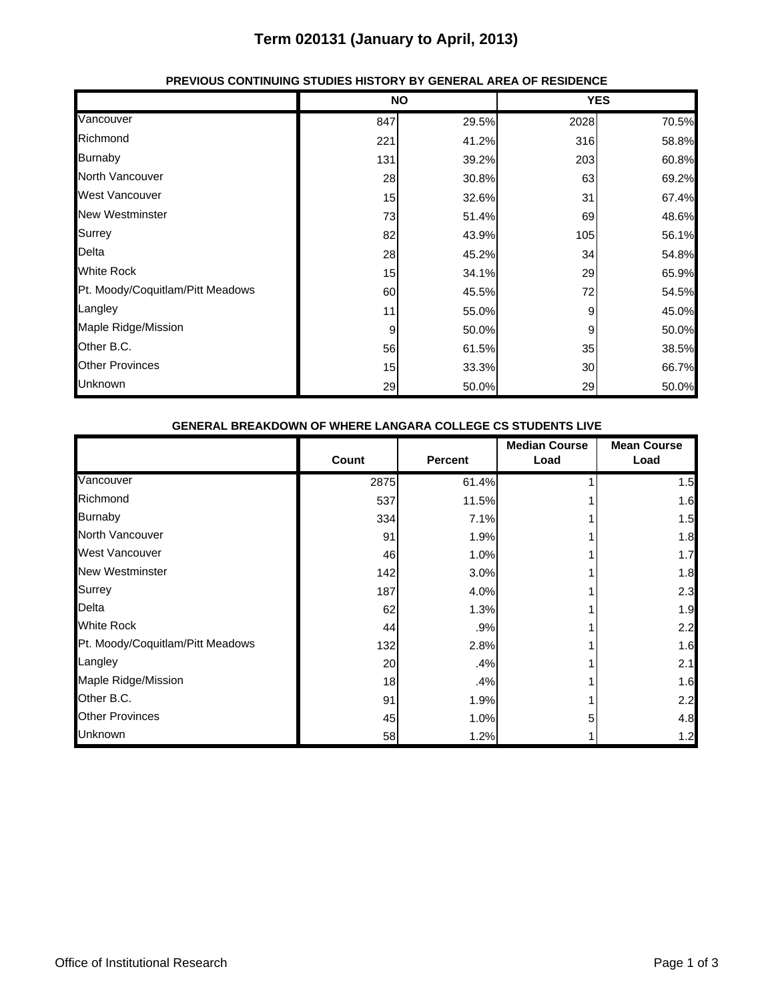### **Term 020131 (January to April, 2013)**

|                                  | <b>NO</b> |       | <b>YES</b> |       |
|----------------------------------|-----------|-------|------------|-------|
| Vancouver                        | 847       | 29.5% | 2028       | 70.5% |
| Richmond                         | 221       | 41.2% | 316        | 58.8% |
| <b>Burnaby</b>                   | 131       | 39.2% | 203        | 60.8% |
| North Vancouver                  | 28        | 30.8% | 63         | 69.2% |
| <b>West Vancouver</b>            | 15        | 32.6% | 31         | 67.4% |
| <b>New Westminster</b>           | 73        | 51.4% | 69         | 48.6% |
| Surrey                           | 82        | 43.9% | 105        | 56.1% |
| Delta                            | 28        | 45.2% | 34         | 54.8% |
| <b>White Rock</b>                | 15        | 34.1% | 29         | 65.9% |
| Pt. Moody/Coquitlam/Pitt Meadows | 60        | 45.5% | 72         | 54.5% |
| Langley                          | 11        | 55.0% | 9          | 45.0% |
| Maple Ridge/Mission              | 9         | 50.0% | 9          | 50.0% |
| Other B.C.                       | 56        | 61.5% | 35         | 38.5% |
| <b>Other Provinces</b>           | 15        | 33.3% | 30         | 66.7% |
| Unknown                          | 29        | 50.0% | 29         | 50.0% |

### **PREVIOUS CONTINUING STUDIES HISTORY BY GENERAL AREA OF RESIDENCE**

| <b>GENERAL BREAKDOWN OF WHERE LANGARA COLLEGE CS STUDENTS LIVE</b> |       |                |                              |                            |  |  |
|--------------------------------------------------------------------|-------|----------------|------------------------------|----------------------------|--|--|
|                                                                    | Count | <b>Percent</b> | <b>Median Course</b><br>Load | <b>Mean Course</b><br>Load |  |  |
| Vancouver                                                          | 2875  | 61.4%          |                              | 1.5                        |  |  |
| Richmond                                                           | 537   | 11.5%          |                              | 1.6                        |  |  |
| <b>Burnaby</b>                                                     | 334   | 7.1%           |                              | 1.5                        |  |  |
| North Vancouver                                                    | 91    | 1.9%           |                              | 1.8                        |  |  |
| West Vancouver                                                     | 46    | 1.0%           |                              | 1.7                        |  |  |
| <b>New Westminster</b>                                             | 142   | 3.0%           |                              | 1.8                        |  |  |
| Surrey                                                             | 187   | 4.0%           |                              | 2.3                        |  |  |
| Delta                                                              | 62    | 1.3%           |                              | 1.9                        |  |  |
| <b>White Rock</b>                                                  | 44    | .9%            |                              | 2.2                        |  |  |
| Pt. Moody/Coquitlam/Pitt Meadows                                   | 132   | 2.8%           |                              | 1.6                        |  |  |
| Langley                                                            | 20    | .4%            |                              | 2.1                        |  |  |
| Maple Ridge/Mission                                                | 18    | .4%            |                              | 1.6                        |  |  |
| Other B.C.                                                         | 91    | 1.9%           |                              | 2.2                        |  |  |
| <b>Other Provinces</b>                                             | 45    | 1.0%           | 5                            | 4.8                        |  |  |
| Unknown                                                            | 58    | 1.2%           |                              | 1.2                        |  |  |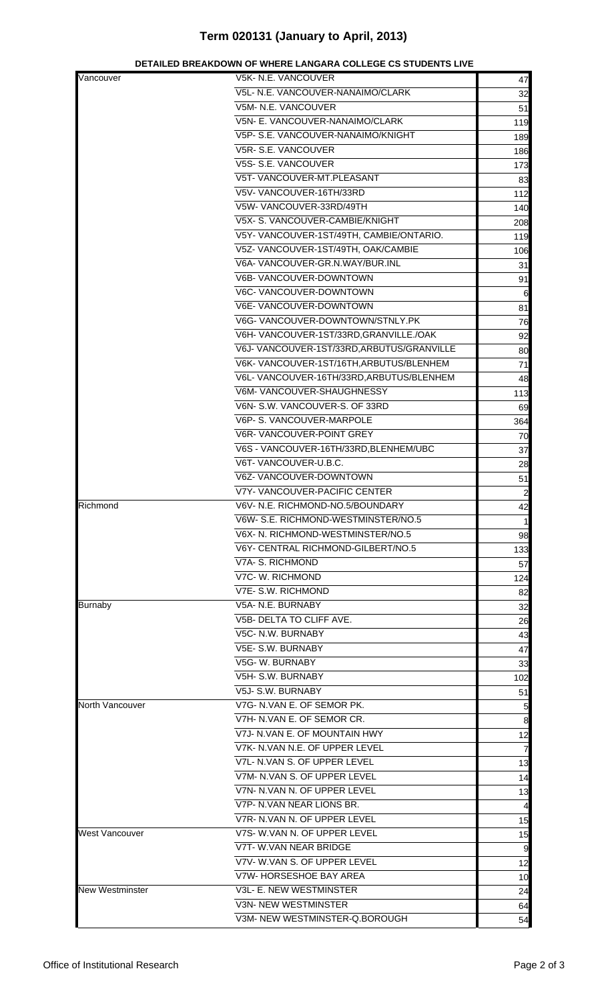# **Term 020131 (January to April, 2013)**

| Vancouver       | V5K- N.E. VANCOUVER                       | 47               |
|-----------------|-------------------------------------------|------------------|
|                 | V5L- N.E. VANCOUVER-NANAIMO/CLARK         |                  |
|                 | V5M- N.E. VANCOUVER                       | 32<br>51         |
|                 | V5N- E. VANCOUVER-NANAIMO/CLARK           | 119              |
|                 | V5P- S.E. VANCOUVER-NANAIMO/KNIGHT        | 189              |
|                 | V5R-S.E. VANCOUVER                        |                  |
|                 | V5S- S.E. VANCOUVER                       | 186              |
|                 |                                           | 173              |
|                 | V5T- VANCOUVER-MT.PLEASANT                | 83               |
|                 | V5V-VANCOUVER-16TH/33RD                   | 112              |
|                 | V5W-VANCOUVER-33RD/49TH                   | 140              |
|                 | V5X- S. VANCOUVER-CAMBIE/KNIGHT           | 208              |
|                 | V5Y-VANCOUVER-1ST/49TH, CAMBIE/ONTARIO.   | 119              |
|                 | V5Z- VANCOUVER-1ST/49TH, OAK/CAMBIE       | 106              |
|                 | V6A-VANCOUVER-GR.N.WAY/BUR.INL            | 31               |
|                 | V6B- VANCOUVER-DOWNTOWN                   | 91               |
|                 | V6C- VANCOUVER-DOWNTOWN                   | 6                |
|                 | V6E- VANCOUVER-DOWNTOWN                   | 81               |
|                 | V6G-VANCOUVER-DOWNTOWN/STNLY.PK           | 76               |
|                 | V6H-VANCOUVER-1ST/33RD, GRANVILLE./OAK    | 92               |
|                 | V6J-VANCOUVER-1ST/33RD, ARBUTUS/GRANVILLE | 80               |
|                 | V6K-VANCOUVER-1ST/16TH, ARBUTUS/BLENHEM   | 71               |
|                 | V6L-VANCOUVER-16TH/33RD, ARBUTUS/BLENHEM  | 48               |
|                 | V6M-VANCOUVER-SHAUGHNESSY                 | 113              |
|                 | V6N- S.W. VANCOUVER-S. OF 33RD            | 69               |
|                 | V6P- S. VANCOUVER-MARPOLE                 | 364              |
|                 | V6R-VANCOUVER-POINT GREY                  | 70               |
|                 | V6S - VANCOUVER-16TH/33RD, BLENHEM/UBC    |                  |
|                 | V6T-VANCOUVER-U.B.C.                      | 37               |
|                 |                                           | 28               |
|                 | V6Z-VANCOUVER-DOWNTOWN                    | 51               |
|                 | V7Y- VANCOUVER-PACIFIC CENTER             | $\overline{c}$   |
| Richmond        | V6V- N.E. RICHMOND-NO.5/BOUNDARY          | 42               |
|                 | V6W- S.E. RICHMOND-WESTMINSTER/NO.5       | $\mathbf{1}$     |
|                 | V6X- N. RICHMOND-WESTMINSTER/NO.5         | 98               |
|                 | V6Y- CENTRAL RICHMOND-GILBERT/NO.5        | 133              |
|                 | V7A- S. RICHMOND                          | 57               |
|                 | V7C- W. RICHMOND                          | 124              |
|                 | V7E- S.W. RICHMOND                        | 82               |
| <b>Burnaby</b>  | V5A- N.E. BURNABY                         | 32               |
|                 | V5B- DELTA TO CLIFF AVE.                  | 26               |
|                 | V5C- N.W. BURNABY                         | 43               |
|                 | V5E- S.W. BURNABY                         | 47               |
|                 | V5G-W. BURNABY                            | 33               |
|                 | V5H- S.W. BURNABY                         | 102              |
|                 | V5J- S.W. BURNABY                         | 51               |
| North Vancouver | V7G- N.VAN E. OF SEMOR PK.                |                  |
|                 | V7H- N.VAN E. OF SEMOR CR.                | 5                |
|                 | V7J- N.VAN E. OF MOUNTAIN HWY             | $\boldsymbol{8}$ |
|                 |                                           | 12               |
|                 | V7K- N.VAN N.E. OF UPPER LEVEL            | $\overline{7}$   |
|                 | V7L- N.VAN S. OF UPPER LEVEL              | 13               |
|                 | V7M- N.VAN S. OF UPPER LEVEL              | 14               |
|                 | V7N- N.VAN N. OF UPPER LEVEL              | 13               |
|                 | V7P- N.VAN NEAR LIONS BR.                 | 4                |
|                 | V7R- N.VAN N. OF UPPER LEVEL              | 15               |
| West Vancouver  | V7S- W.VAN N. OF UPPER LEVEL              | 15               |
|                 | V7T- W.VAN NEAR BRIDGE                    | 9                |
|                 | V7V-W.VAN S. OF UPPER LEVEL               | 12               |
|                 | V7W- HORSESHOE BAY AREA                   | 10               |
| New Westminster | V3L- E. NEW WESTMINSTER                   | 24               |
|                 | V3N- NEW WESTMINSTER                      | 64               |
|                 | V3M- NEW WESTMINSTER-Q.BOROUGH            | 54               |
|                 |                                           |                  |